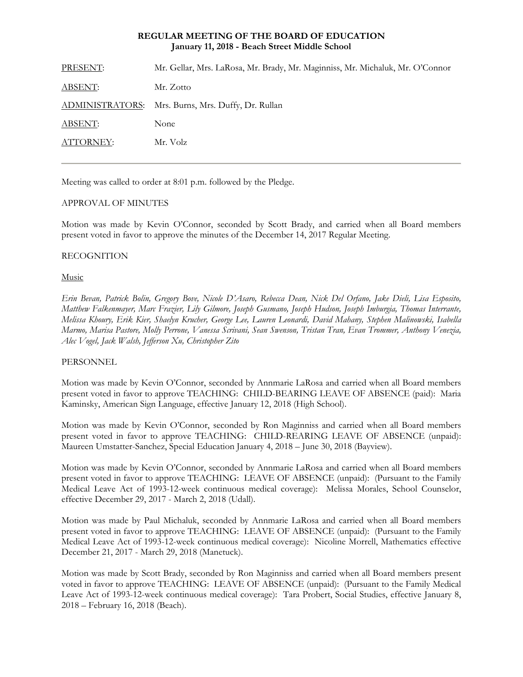# **REGULAR MEETING OF THE BOARD OF EDUCATION January 11, 2018 - Beach Street Middle School**

| PRESENT:       | Mr. Gellar, Mrs. LaRosa, Mr. Brady, Mr. Maginniss, Mr. Michaluk, Mr. O'Connor |
|----------------|-------------------------------------------------------------------------------|
| <b>ABSENT:</b> | Mr. Zotto                                                                     |
|                | ADMINISTRATORS: Mrs. Burns, Mrs. Duffy, Dr. Rullan                            |
| ABSENT:        | None                                                                          |
| ATTORNEY:      | Mr. Volz                                                                      |
|                |                                                                               |

Meeting was called to order at 8:01 p.m. followed by the Pledge.

# APPROVAL OF MINUTES

Motion was made by Kevin O'Connor, seconded by Scott Brady, and carried when all Board members present voted in favor to approve the minutes of the December 14, 2017 Regular Meeting.

# RECOGNITION

## Music

*Erin Bevan, Patrick Bolin, Gregory Bove, Nicole D'Asaro, Rebecca Dean, Nick Del Orfano, Jake Dieli, Lisa Esposito, Matthew Falkenmayer, Marc Frazier, Lily Gilmore, Joseph Gusmano, Joseph Hudson, Joseph Imburgia, Thomas Interrante, Melissa Khoury, Erik Kier, Shaelyn Krucher, George Lee, Lauren Leonardi, David Mahany, Stephen Malinowski, Isabella Marmo, Marisa Pastore, Molly Perrone, Vanessa Scrivani, Sean Swenson, Tristan Tran, Evan Trommer, Anthony Venezia, Alec Vogel, Jack Walsh, Jefferson Xu, Christopher Zito* 

## **PERSONNEL**

Motion was made by Kevin O'Connor, seconded by Annmarie LaRosa and carried when all Board members present voted in favor to approve TEACHING: CHILD-BEARING LEAVE OF ABSENCE (paid): Maria Kaminsky, American Sign Language, effective January 12, 2018 (High School).

Motion was made by Kevin O'Connor, seconded by Ron Maginniss and carried when all Board members present voted in favor to approve TEACHING: CHILD-REARING LEAVE OF ABSENCE (unpaid): Maureen Umstatter-Sanchez, Special Education January 4, 2018 – June 30, 2018 (Bayview).

Motion was made by Kevin O'Connor, seconded by Annmarie LaRosa and carried when all Board members present voted in favor to approve TEACHING: LEAVE OF ABSENCE (unpaid): (Pursuant to the Family Medical Leave Act of 1993-12-week continuous medical coverage): Melissa Morales, School Counselor, effective December 29, 2017 - March 2, 2018 (Udall).

Motion was made by Paul Michaluk, seconded by Annmarie LaRosa and carried when all Board members present voted in favor to approve TEACHING: LEAVE OF ABSENCE (unpaid): (Pursuant to the Family Medical Leave Act of 1993-12-week continuous medical coverage): Nicoline Morrell, Mathematics effective December 21, 2017 - March 29, 2018 (Manetuck).

Motion was made by Scott Brady, seconded by Ron Maginniss and carried when all Board members present voted in favor to approve TEACHING: LEAVE OF ABSENCE (unpaid): (Pursuant to the Family Medical Leave Act of 1993-12-week continuous medical coverage): Tara Probert, Social Studies, effective January 8, 2018 – February 16, 2018 (Beach).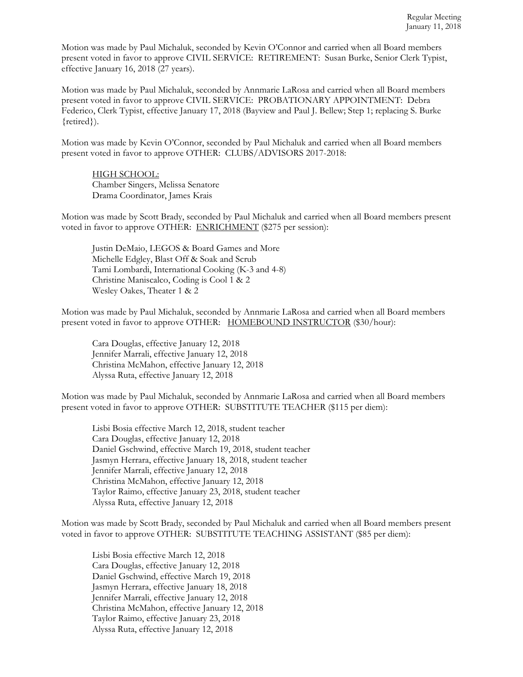Motion was made by Paul Michaluk, seconded by Kevin O'Connor and carried when all Board members present voted in favor to approve CIVIL SERVICE: RETIREMENT: Susan Burke, Senior Clerk Typist, effective January 16, 2018 (27 years).

Motion was made by Paul Michaluk, seconded by Annmarie LaRosa and carried when all Board members present voted in favor to approve CIVIL SERVICE: PROBATIONARY APPOINTMENT: Debra Federico, Clerk Typist, effective January 17, 2018 (Bayview and Paul J. Bellew; Step 1; replacing S. Burke {retired}).

Motion was made by Kevin O'Connor, seconded by Paul Michaluk and carried when all Board members present voted in favor to approve OTHER: CLUBS/ADVISORS 2017-2018:

HIGH SCHOOL: Chamber Singers, Melissa Senatore Drama Coordinator, James Krais

Motion was made by Scott Brady, seconded by Paul Michaluk and carried when all Board members present voted in favor to approve OTHER: ENRICHMENT (\$275 per session):

Justin DeMaio, LEGOS & Board Games and More Michelle Edgley, Blast Off & Soak and Scrub Tami Lombardi, International Cooking (K-3 and 4-8) Christine Maniscalco, Coding is Cool 1 & 2 Wesley Oakes, Theater 1 & 2

Motion was made by Paul Michaluk, seconded by Annmarie LaRosa and carried when all Board members present voted in favor to approve OTHER: HOMEBOUND INSTRUCTOR (\$30/hour):

Cara Douglas, effective January 12, 2018 Jennifer Marrali, effective January 12, 2018 Christina McMahon, effective January 12, 2018 Alyssa Ruta, effective January 12, 2018

Motion was made by Paul Michaluk, seconded by Annmarie LaRosa and carried when all Board members present voted in favor to approve OTHER: SUBSTITUTE TEACHER (\$115 per diem):

Lisbi Bosia effective March 12, 2018, student teacher Cara Douglas, effective January 12, 2018 Daniel Gschwind, effective March 19, 2018, student teacher Jasmyn Herrara, effective January 18, 2018, student teacher Jennifer Marrali, effective January 12, 2018 Christina McMahon, effective January 12, 2018 Taylor Raimo, effective January 23, 2018, student teacher Alyssa Ruta, effective January 12, 2018

Motion was made by Scott Brady, seconded by Paul Michaluk and carried when all Board members present voted in favor to approve OTHER: SUBSTITUTE TEACHING ASSISTANT (\$85 per diem):

Lisbi Bosia effective March 12, 2018 Cara Douglas, effective January 12, 2018 Daniel Gschwind, effective March 19, 2018 Jasmyn Herrara, effective January 18, 2018 Jennifer Marrali, effective January 12, 2018 Christina McMahon, effective January 12, 2018 Taylor Raimo, effective January 23, 2018 Alyssa Ruta, effective January 12, 2018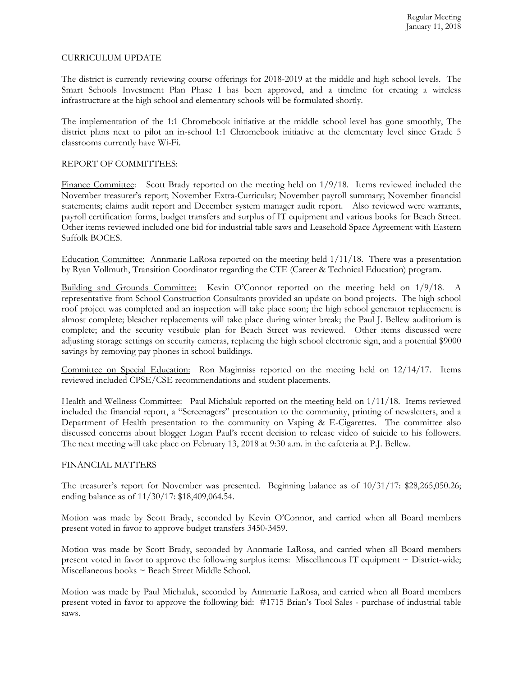## CURRICULUM UPDATE

The district is currently reviewing course offerings for 2018-2019 at the middle and high school levels. The Smart Schools Investment Plan Phase I has been approved, and a timeline for creating a wireless infrastructure at the high school and elementary schools will be formulated shortly.

The implementation of the 1:1 Chromebook initiative at the middle school level has gone smoothly, The district plans next to pilot an in-school 1:1 Chromebook initiative at the elementary level since Grade 5 classrooms currently have Wi-Fi.

# REPORT OF COMMITTEES:

Finance Committee: Scott Brady reported on the meeting held on  $1/9/18$ . Items reviewed included the November treasurer's report; November Extra-Curricular; November payroll summary; November financial statements; claims audit report and December system manager audit report. Also reviewed were warrants, payroll certification forms, budget transfers and surplus of IT equipment and various books for Beach Street. Other items reviewed included one bid for industrial table saws and Leasehold Space Agreement with Eastern Suffolk BOCES.

Education Committee: Annmarie LaRosa reported on the meeting held 1/11/18. There was a presentation by Ryan Vollmuth, Transition Coordinator regarding the CTE (Career & Technical Education) program.

Building and Grounds Committee: Kevin O'Connor reported on the meeting held on 1/9/18. A representative from School Construction Consultants provided an update on bond projects. The high school roof project was completed and an inspection will take place soon; the high school generator replacement is almost complete; bleacher replacements will take place during winter break; the Paul J. Bellew auditorium is complete; and the security vestibule plan for Beach Street was reviewed. Other items discussed were adjusting storage settings on security cameras, replacing the high school electronic sign, and a potential \$9000 savings by removing pay phones in school buildings.

Committee on Special Education: Ron Maginniss reported on the meeting held on 12/14/17. Items reviewed included CPSE/CSE recommendations and student placements.

Health and Wellness Committee: Paul Michaluk reported on the meeting held on 1/11/18. Items reviewed included the financial report, a "Screenagers" presentation to the community, printing of newsletters, and a Department of Health presentation to the community on Vaping & E-Cigarettes. The committee also discussed concerns about blogger Logan Paul's recent decision to release video of suicide to his followers. The next meeting will take place on February 13, 2018 at 9:30 a.m. in the cafeteria at P.J. Bellew.

## FINANCIAL MATTERS

The treasurer's report for November was presented. Beginning balance as of 10/31/17: \$28,265,050.26; ending balance as of 11/30/17: \$18,409,064.54.

Motion was made by Scott Brady, seconded by Kevin O'Connor, and carried when all Board members present voted in favor to approve budget transfers 3450-3459.

Motion was made by Scott Brady, seconded by Annmarie LaRosa, and carried when all Board members present voted in favor to approve the following surplus items: Miscellaneous IT equipment ~ District-wide; Miscellaneous books ~ Beach Street Middle School.

Motion was made by Paul Michaluk, seconded by Annmarie LaRosa, and carried when all Board members present voted in favor to approve the following bid: #1715 Brian's Tool Sales - purchase of industrial table saws.